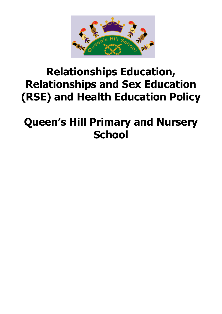

# **Relationships Education, Relationships and Sex Education (RSE) and Health Education Policy**

# **Queen's Hill Primary and Nursery School**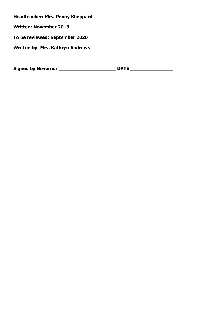**Headteacher: Mrs. Penny Sheppard** 

**Written: November 2019**

**To be reviewed: September 2020**

**Written by: Mrs. Kathryn Andrews**

**Signed by Governor \_\_\_\_\_\_\_\_\_\_\_\_\_\_\_\_\_\_\_\_ DATE \_\_\_\_\_\_\_\_\_\_\_\_\_\_\_**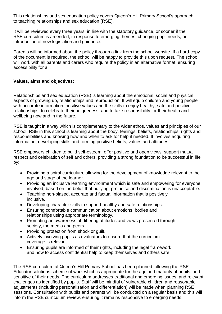This relationships and sex education policy covers Queen's Hill Primary School's approach to teaching relationships and sex education (RSE).

It will be reviewed every three years, in line with the statutory guidance, or sooner if the RSE curriculum is amended, in response to emerging themes, changing pupil needs, or introduction of new legislation and guidance.

Parents will be informed about the policy through a link from the school website. If a hard-copy of the document is required, the school will be happy to provide this upon request. The school will work with all parents and carers who require the policy in an alternative format, ensuring accessibility for all.

#### **Values, aims and objectives:**

Relationships and sex education (RSE) is learning about the emotional, social and physical aspects of growing up, relationships and reproduction. It will equip children and young people with accurate information, positive values and the skills to enjoy healthy, safe and positive relationships, to celebrate their uniqueness, and to take responsibility for their health and wellbeing now and in the future.

RSE is taught in a way which is complementary to the wider ethos, values and principles of our school. RSE in this school is learning about the body, feelings, beliefs, relationships, rights and responsibilities and knowing how and when to ask for help if needed. It involves acquiring information, developing skills and forming positive beliefs, values and attitudes.

RSE empowers children to build self-esteem, offer positive and open views, support mutual respect and celebration of self and others, providing a strong foundation to be successful in life by:

- Providing a spiral curriculum, allowing for the development of knowledge relevant to the age and stage of the learner.
- Providing an inclusive learning environment which is safe and empowering for everyone involved, based on the belief that bullying, prejudice and discrimination is unacceptable.
- Teaching non-biased, accurate and factual information that is positively inclusive.
- Developing character skills to support healthy and safe relationships.
- Ensuring comfortable communication about emotions, bodies and relationships using appropriate terminology.
- Promoting an awareness of differing attitudes and views presented through society, the media and peers.
- Providing protection from shock or guilt.
- Actively involving pupils as evaluators to ensure that the curriculum coverage is relevant.
- Ensuring pupils are informed of their rights, including the legal framework and how to access confidential help to keep themselves and others safe.

The RSE curriculum at Queen's Hill Primary School has been planned following the RSE Educator solutions scheme of work which is appropriate for the age and maturity of pupils, and sensitive of their needs. The curriculum addresses traditional and emerging issues, and relevant challenges as identified by pupils. Staff will be mindful of vulnerable children and reasonable adjustments (including personalisation and differentiation) will be made when planning RSE sessions. Consultation with pupils and parents will be conducted on a regular basis and this will inform the RSE curriculum review, ensuring it remains responsive to emerging needs.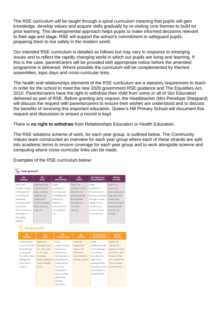The RSE curriculum will be taught through a spiral curriculum meaning that pupils will gain knowledge, develop values and acquire skills gradually by re-visiting core themes to build on prior learning. This developmental approach helps pupils to make informed decisions relevant to their age and stage. RSE will support the school's commitment to safeguard pupils, preparing them to live safely in the modern world.

Our intended RSE curriculum is detailed as follows but may vary in response to emerging issues and to reflect the rapidly changing world in which our pupils are living and learning. If this is the case, parent/carers will be provided with appropriate notice before the amended programme is delivered. Where possible the curriculum will be complemented by themed assemblies, topic days and cross-curricular links.

The health and relationships elements of the RSE curriculum are a statutory requirement to teach in order for the school to meet the new 2020 government RSE guidance and The Equalities Act, 2010. Parents/carers have the right to withdraw their child from some or all of Sex Education delivered as part of RSE. Before granting any request, the Headteacher (Mrs Penelope Sheppard) will discuss the request with parents/carers to ensure their wishes are understood and to discuss the benefits of receiving this important education. Queen's Hill Primary School will document this request and discussion to ensure a record is kept.

There is **no right to withdraw** from Relationships Education or Health Education.

The RSE solutions scheme of work, for each year group, is outlined below. The Community Values team constructed an overview for each year group where each of these strands are split into academic terms to ensure coverage for each year group and to work alongside science and computing where cross-curricular links can be made.

Examples of the RSE curriculum below:

| $\bar{\mathbb{Y}}_{\mathsf{R}}$<br><b>Year group R</b> |                    |                     |                      |                                   |                           |  |
|--------------------------------------------------------|--------------------|---------------------|----------------------|-----------------------------------|---------------------------|--|
| My<br>feelings                                         | My<br>body         | Mv<br>relationships | <b>My</b><br>beliefs | My rights and<br>responsibilities | Askina<br>for help        |  |
| Pupils can                                             | Pupils know the    | Pupils              | Pupils can           | Pupils                            | Pupils can                |  |
| identify a range                                       | importance of      | understand          | recognise what       | understand                        | identify the              |  |
| of feelings and                                        | basic personal     | that there are      | they like and        | the concept of                    | special people in         |  |
| how these are                                          | hygiene and        | similarities and    | dislike and feel     | privacy, including                | their lives, what         |  |
| expressed,                                             | understand         | differences         | empowered            | the right to keep                 | makes them                |  |
| including words                                        | how to maintain    | between             | to make real,        | things private                    | special and how           |  |
| to describe                                            | basic personal     | everyone and        | informed             | and the right                     | special people            |  |
| them and simple                                        | hygiene.           | can celebrate       | choices.             | another person                    | care for one              |  |
| strategies for                                         |                    | this.               |                      | has to privacy.                   | another.                  |  |
| managing                                               |                    |                     |                      |                                   |                           |  |
| feelings.                                              |                    |                     |                      |                                   |                           |  |
| <b>Year group one</b>                                  |                    |                     |                      |                                   |                           |  |
| My<br>feelings                                         | My<br>body         | My<br>relationships | My<br><b>beliefs</b> | My rights and<br>responsibilities | <b>Asking</b><br>for help |  |
| Pupils are able                                        | Pupils can         | Pupils              | Pupils can           | Pupils                            | Pupils can                |  |
| to communicate                                         | correctly name     | understand the      | identify and         | understand how                    | identify the              |  |
| about feelings,                                        | the main parts     | importance          | respect the          | some diseases                     | people who look           |  |
| to recognise                                           | of the body,       | of listening to     | differences          | are spread,                       | after them, who           |  |
| how others show                                        | including          | other people, to    | and similarities     | including the                     | to go to if they          |  |
| feelings and                                           | external genitalia | play and work       | between people.      | right to be                       | are worried and           |  |
| know how to                                            | using scientific   | cooperatively       |                      | protected from                    | how to attract            |  |
| respond.                                               | terms.             | including           |                      | diseases and the                  | their attention.          |  |
|                                                        |                    | strategies to       |                      | responsibility to                 |                           |  |
|                                                        |                    | resolve simple      |                      | protect others.                   |                           |  |
|                                                        |                    | arguments           |                      |                                   |                           |  |
|                                                        |                    | through             |                      |                                   |                           |  |
|                                                        |                    | negotiation.        |                      |                                   |                           |  |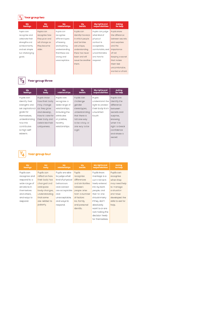### $\boxed{\mathbb{Y}_{2}}$  Year group two

| My<br>feelings  | My<br>body     | My<br>relationships | <b>My</b><br><b>beliefs</b> | My rights and<br>responsibilities | <b>Asking</b><br>for help |
|-----------------|----------------|---------------------|-----------------------------|-----------------------------------|---------------------------|
| Pupils can      | Pupils can     | Pupils can          | Pupils can                  | Pupils can judge                  | Pupils know               |
| recognise and   | recognise how  | recognise           | identify the ways           | what kind of                      | the difference            |
| celebrate their | they grow and  | different types     | in which people             | physical                          | between secrets           |
| strengths and   | will change as | of teasing          | and families                | contact is                        | and surprises             |
| achievements,   | they become    | and bullying,       | are unique,                 | acceptable,                       | and the                   |
| and set simple  | older.         | understanding       | understanding               | comfortable, and                  | importance                |
| but challenging |                | that these are      | there has never             | uncomfortable                     | of not                    |
| goals.          |                | wrong and           | been and will               | and how to                        | keeping a secret          |
|                 |                | unacceptable.       | never be another            | respond.                          | that makes                |
|                 |                |                     | them                        |                                   | them feel                 |
|                 |                |                     |                             |                                   | uncomfortable.            |
|                 |                |                     |                             |                                   | worried or afraid.        |

## $\boxed{\mathbb{Y}_3}$  Year group three

| My<br>feelings                                                                                                 | My<br>body                                                                                                       | My<br>relationships                                                                                         | <b>My</b><br><b>beliefs</b>                                                                        | My rights and<br>responsibilities                                                     | <b>Asking</b><br>for help                                                                  |
|----------------------------------------------------------------------------------------------------------------|------------------------------------------------------------------------------------------------------------------|-------------------------------------------------------------------------------------------------------------|----------------------------------------------------------------------------------------------------|---------------------------------------------------------------------------------------|--------------------------------------------------------------------------------------------|
| Pupils can<br>identify their<br>strengths and<br>set aspirational<br>goals for<br>themselves.<br>understanding | Pupils know<br>how their body<br>may change<br>as they grow<br>and develop,<br>how to care for<br>their body and | Pupils can<br>recognise a<br>wide range of<br>relationships,<br>including the<br>attributes<br>of positive, | Pupils can<br>challenge<br>gender<br>stereotypes,<br>understanding<br>that there is<br>not one way | Pupils<br>understand the<br>right to protect<br>their body from<br>unwanted<br>touch. | Pupils can<br>identify the<br>difference<br>between<br>secrets and<br>surprise,<br>knowing |
| how this<br>contributes<br>to high self-<br>esteem.                                                            | celebrate their<br>uniqueness.                                                                                   | healthy<br>relationships.                                                                                   | to be a boy, or<br>one way to be<br>a girl.                                                        |                                                                                       | when it is<br>right to break<br>confidence<br>and share a<br>secret.                       |

## $\boxed{\mathbb{Y}_{\mathbf{4}}}$  Year group four

| My<br>feelings | My<br>body     | My<br>relationships | My<br><b>beliefs</b> | My rights and<br>responsibilities | <b>Asking</b><br>for help |
|----------------|----------------|---------------------|----------------------|-----------------------------------|---------------------------|
| Pupils can     | Pupils can     | Pupils are able     | Pupils               | Pupils know                       | Pupils can                |
| recognise and  | reflect on how | to judge what       | recognise            | marriage is a                     | recognise                 |
| respond to a   | their body has | kind of physical    | differences          | commitment                        | when they                 |
| wide range of  | changed and    | behaviours          | and similarities     | freely entered                    | may need help             |
| emotions in    | anticipate     | and contact         | hetween              | into by both                      | to manage                 |
| themselves     | body changes,  | are acceptable      | people arise         | people, and                       | a situation               |
| and others,    | understanding  | and                 | from a number        | that no one                       | and have                  |
| and ways to    | that some      | unacceptable,       | of factors           | should marry                      | developed the             |
| respond.       | are related to | and ways to         | Inc. family          | if they don't                     | skills to ask for         |
|                | puberty.       | respond.            | and personal         | absolutely                        | help.                     |
|                |                |                     | identity.            | want to or are                    |                           |
|                |                |                     |                      | not making the                    |                           |
|                |                |                     |                      | decision freely                   |                           |
|                |                |                     |                      | for themselves.                   |                           |
|                |                |                     |                      |                                   |                           |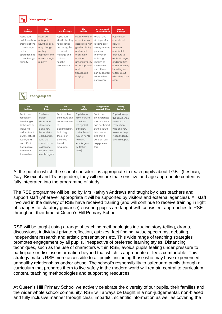#### **Year group five**

| My<br>feelings | My<br>body     | Mv<br>relationships | <b>My</b><br>beliefs | My rights and<br>responsibilities | <b>Asking</b><br>for help |
|----------------|----------------|---------------------|----------------------|-----------------------------------|---------------------------|
| Pupils can     | Pupils can     | Pupils can          | Pupils know the      | Pupils have                       | Pupils have               |
| anticipate how | anticipate     | identify healthy    | correct terms        | strategies for                    | considered                |
| their emotions | how their body | relationships       | associated with      | keeping safe                      | how to                    |
| may change     | may change     | and recognise       | gender identity      | online; knowing                   | manage                    |
| as they        | as they        | the skills to       | and sexual           | personal                          | accidental                |
| approach and   | approach and   | manage and          | orientation,         | information                       | exposure to               |
| move through   | move through   | maintain            | and the              | including                         | explicit images,          |
| puberty.       | puberty.       | healthy             | unacceptability      | images of                         | and upsetting             |
|                |                | relationships.      | of homophobic        | themselves                        | online material,          |
|                |                |                     | and                  | and others                        | including who             |
|                |                |                     | transphobic          | can be shared                     | to talk about             |
|                |                |                     | bullying.            | without their                     | what they have            |
|                |                |                     |                      | permission.                       | seen.                     |
|                |                |                     |                      |                                   |                           |
|                |                |                     |                      |                                   |                           |

Year group six

| My<br>feelings | My<br>body     | My<br>relationships | My<br><b>beliefs</b> | My rights and<br>responsibilities | <b>Asking</b><br>for help |
|----------------|----------------|---------------------|----------------------|-----------------------------------|---------------------------|
| Pupils can     | Pupils can     | Pupils realise      | Pupils know          | Pupils have                       | Pupils develop            |
| recognise      | explain        | the nature and      | some cultural        | an awareness                      | the confidence            |
| how images     | what sexual    | consequences        | practices            | that infections                   | and skills to             |
| in the media.  | intercourse    | of                  | are against          | can be shared                     | know when.                |
| including      | is and how     | discrimination.     | British law          | during sexual                     | who and how               |
| online do not  | this leads to  | including           | and universal        | intercourse.                      | to ask for help           |
| always reflect | reproduction,  | the use of          | human rights,        | and that a                        | independently,            |
| reality, and   | using the      | prejudice           | including            | condom can                        | or with support.          |
| can affect     | correct terms  | based               | female genital       | help prevent                      |                           |
| how people     | to describe    | language.           | mutilation           | this.                             |                           |
| feel about     | the male and   |                     | (FGM).               |                                   |                           |
| themselves.    | female organs. |                     |                      |                                   |                           |
|                |                |                     |                      |                                   |                           |
|                |                |                     |                      |                                   |                           |
|                |                |                     |                      |                                   |                           |

At the point in which the school consider it is appropriate to teach pupils about LGBT (Lesbian, Gay, Bisexual and Transgender), they will ensure that sensitive and age appropriate content is fully integrated into the programme of study.

The RSE programme will be led by Mrs Kathryn Andrews and taught by class teachers and support staff (wherever appropriate it will be supported by visitors and external agencies). All staff involved in the delivery of RSE have received training (and will continue to receive training in light of changes to statutory guidance) ensuring pupils are taught with consistent approaches to RSE throughout their time at Queen's Hill Primary School.

RSE will be taught using a range of teaching methodologies including story-telling, drama, discussions, individual private reflection, quizzes, fact finding, value spectrums, debating, independent research and artistic presentations etc. This wide range of teaching strategies promotes engagement by all pupils, irrespective of preferred learning styles. Distancing techniques, such as the use of characters within RSE, avoids pupils feeling under pressure to participate or disclose information beyond that which is appropriate or feels comfortable. This strategy makes RSE more accessible to all pupils, including those who may have experienced unhealthy relationships and/or abuse. The school's responsibility to safeguard pupils through a curriculum that prepares them to live safely in the modern world will remain central to curriculum content, teaching methodologies and supporting resources.

At Queen's Hill Primary School we actively celebrate the diversity of our pupils, their families and the wider whole school community. RSE will always be taught in a non-judgemental, non-biased and fully inclusive manner through clear, impartial, scientific information as well as covering the